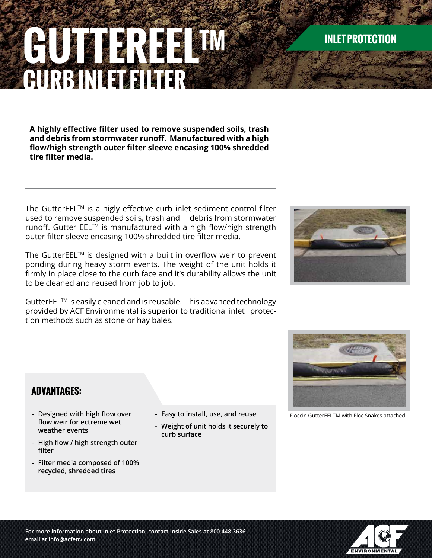# **email at info@acfenv.com**

# **GUTTERERREELTM CURB IN EXECUTE**

**A highly effective filter used to remove suspended soils, trash and debris from stormwater runoff. Manufactured with a high flow/high strength outer filter sleeve encasing 100% shredded tire filter media.**

The GutterEEL™ is a higly effective curb inlet sediment control filter used to remove suspended soils, trash and debris from stormwater runoff. Gutter EEL<sup>™</sup> is manufactured with a high flow/high strength outer filter sleeve encasing 100% shredded tire filter media.

The GutterEEL $I_M$  is designed with a built in overflow weir to prevent ponding during heavy storm events. The weight of the unit holds it firmly in place close to the curb face and it's durability allows the unit to be cleaned and reused from job to job.

GutterEELTM is easily cleaned and is reusable. This advanced technology provided by ACF Environmental is superior to traditional inlet protection methods such as stone or hay bales.

> **- Easy to install, use, and reuse - Weight of unit holds it securely to**

 **curb surface**

## **ADVANTAGES:**

- **- Designed with high flow over flow weir for ectreme wet weather events**
- **- High flow / high strength outer filter**
- **- Filter media composed of 100% recycled, shredded tires**

Floccin GutterEELTM with Floc Snakes attached







# **INLET PROTECTION**